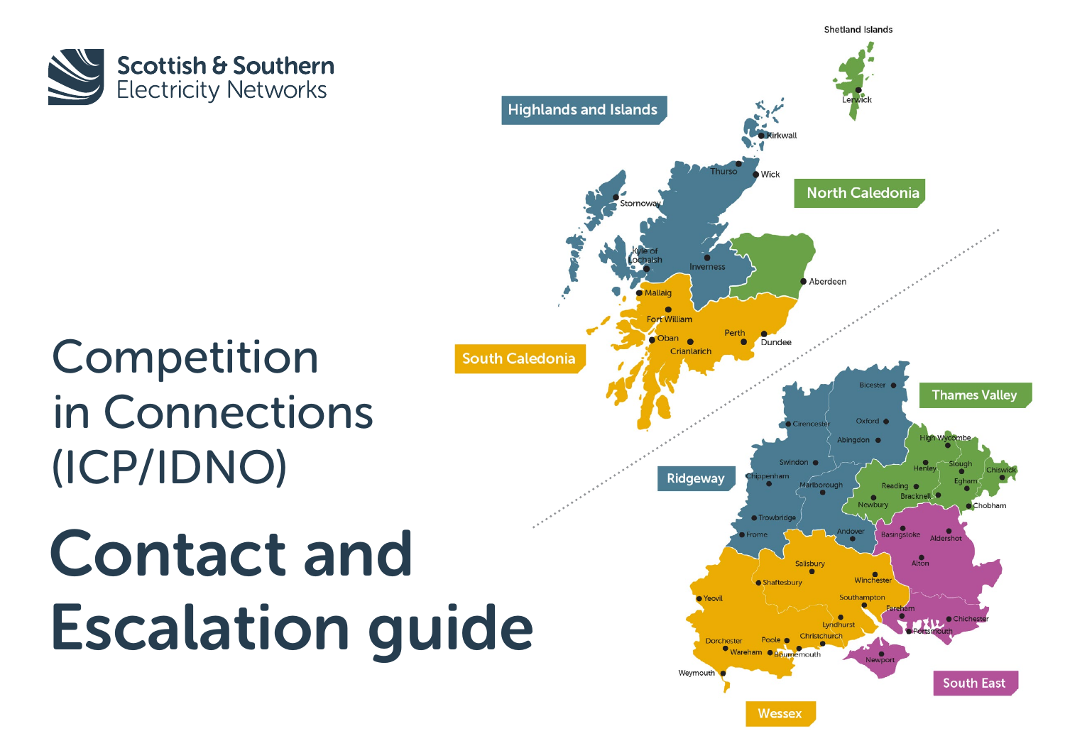

## Competition in Connections (ICP/IDNO)

# Contact and Escalation guide

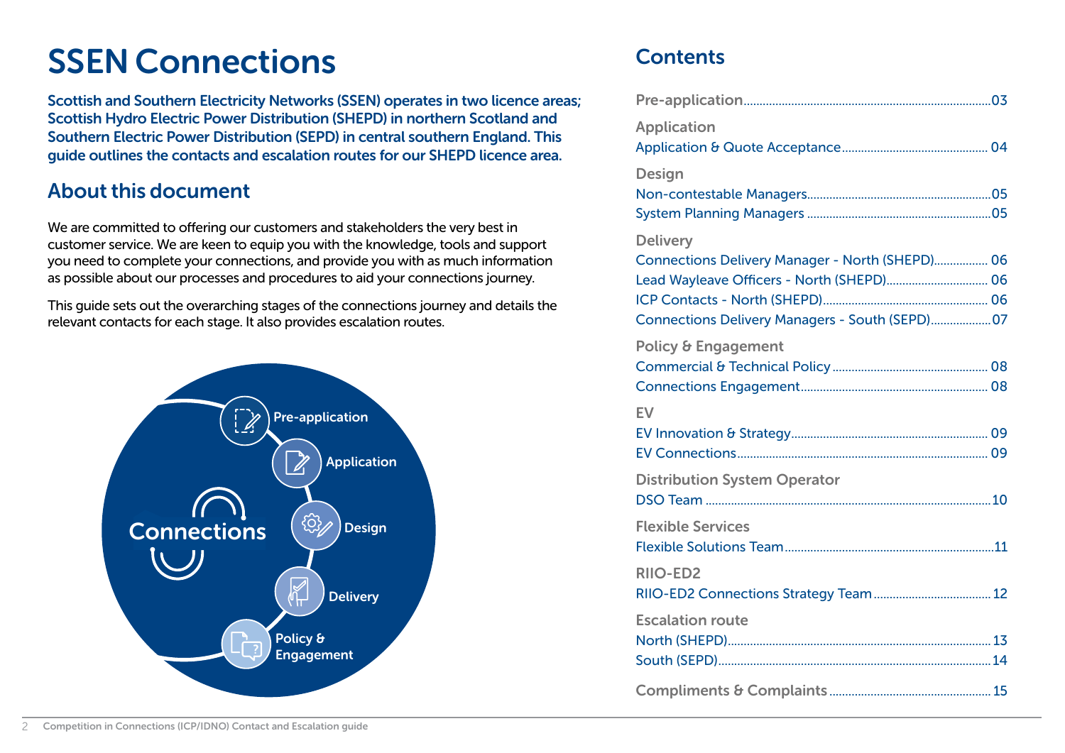### SSEN Connections

Scottish and Southern Electricity Networks (SSEN) operates in two licence areas; Scottish Hydro Electric Power Distribution (SHEPD) in northern Scotland and Southern Electric Power Distribution (SEPD) in central southern England. This guide outlines the contacts and escalation routes for our SHEPD licence area.

#### About this document

We are committed to offering our customers and stakeholders the very best in customer service. We are keen to equip you with the knowledge, tools and support you need to complete your connections, and provide you with as much information as possible about our processes and procedures to aid your connections journey.

This guide sets out the overarching stages of the connections journey and details the relevant contacts for each stage. It also provides escalation routes.



#### **Contents**

| <b>Application</b>                                                                                                                              |
|-------------------------------------------------------------------------------------------------------------------------------------------------|
| <b>Design</b>                                                                                                                                   |
| <b>Delivery</b>                                                                                                                                 |
| Connections Delivery Manager - North (SHEPD) 06<br>Lead Wayleave Officers - North (SHEPD) 06<br>Connections Delivery Managers - South (SEPD) 07 |
| <b>Policy &amp; Engagement</b>                                                                                                                  |
| EV                                                                                                                                              |
|                                                                                                                                                 |
| <b>Distribution System Operator</b>                                                                                                             |
|                                                                                                                                                 |
| <b>Flexible Services</b>                                                                                                                        |
| <b>RIIO-ED2</b>                                                                                                                                 |
| <b>Escalation route</b>                                                                                                                         |
|                                                                                                                                                 |
|                                                                                                                                                 |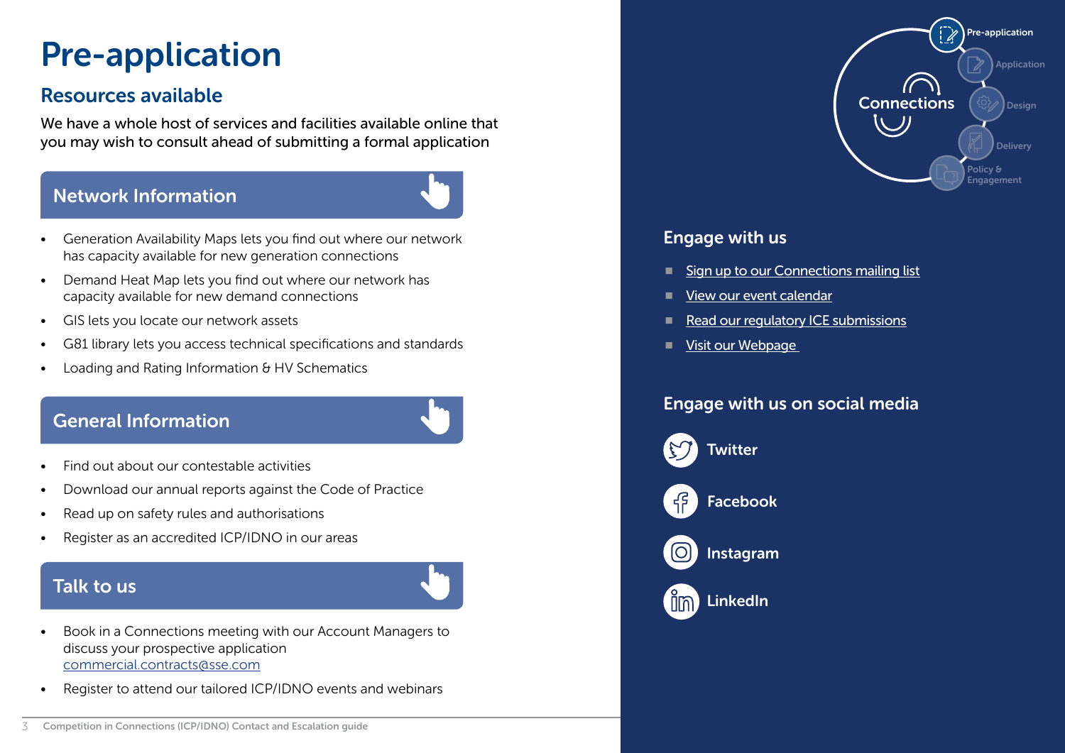## <span id="page-2-0"></span>Pre-application

#### Resources available and the connections of the connections of the connections of the connections of the connections

We have a whole host of services and facilities available online that you may wish to consult ahead of submitting a formal application

#### [Network Information](https://www.ssen.co.uk/ConnectionsInformation/NetworkInformation/)



- Generation Availability Maps lets you find out where our network has capacity available for new generation connections
- Demand Heat Map lets you find out where our network has capacity available for new demand connections
- GIS lets you locate our network assets
- G81 library lets you access technical specifications and standards
- Loading and Rating Information & HV Schematics

#### [General Information](https://www.ssen.co.uk/ConnectionsInformation/CompetitionInConnections/)



- Find out about our contestable activities
- Download our annual reports against the Code of Practice
- Read up on safety rules and authorisations
- Register as an accredited ICP/IDNO in our areas

#### [Talk to us](https://www.ssen.co.uk/stakeholderevent/basicsearch/)



- Book in a Connections meeting with our Account Managers to discuss your prospective application commercial.contracts@sse.com
- Register to attend our tailored ICP/IDNO events and webinars



#### Engage with us

- [Sign up to our Connections mailing list](https://www.ssen.co.uk/connections/subscribe/)
- [View our event calendar](https://www.ssen.co.uk/stakeholderevent/basicsearch/)
- [Read our regulatory ICE submissions](https://www.ssen.co.uk/ConnectionsInformation/StakeholderEngagement/ICE/)
- Visit our Webpage

#### Engage with us on social media



**[Twitter](https://twitter.com/ssencommunity)** 



[Facebook](https://www.facebook.com/ssencommunity)



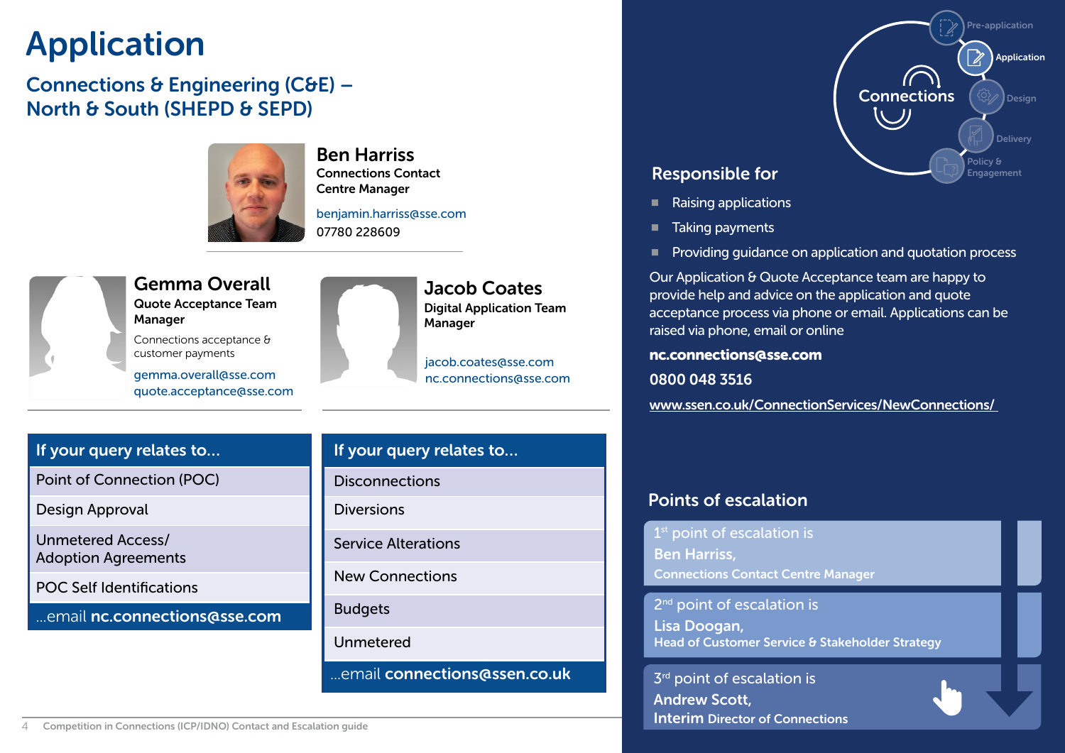### <span id="page-3-0"></span>Application

#### Connections & Engineering (C&E) – North & South (SHEPD & SEPD)



#### Ben Harriss Connections Contact Centre Manager

benjamin.harriss@sse.com 07780 228609



#### Gemma Overall Quote Acceptance Team **Manager**

Connections acceptance & customer payments

gemma.overall@sse.com quote.acceptance@sse.com



Jacob Coates Digital Application Team

jacob.coates@sse.com nc.connections@sse.com

#### If your query relates to…

Point of Connection (POC)

Design Approval

Unmetered Access/ Adoption Agreements

POC Self Identifications

...email nc.connections@sse.com

### If your query relates to… **Disconnections** Diversions Service Alterations New Connections Budgets Unmetered ...email connections@ssen.co.uk



#### Responsible for

- Raising applications
- Taking payments
- Providing guidance on application and quotation process

Our Application & Quote Acceptance team are happy to provide help and advice on the application and quote acceptance process via phone or email. Applications can be raised via phone, email or online

nc.connections@sse.com

0800 048 3516

[www.ssen.co.uk/ConnectionServices/NewConnections/](https://www.ssen.co.uk/ConnectionServices/NewConnections/) 

#### Points of escalation

 $1<sup>st</sup>$  point of escalation is

Ben Harriss,

Connections Contact Centre Manager

2<sup>nd</sup> point of escalation is

Lisa Doogan, Head of Customer Service & Stakeholder Strategy

 $3<sup>rd</sup>$  point of escalation is Andrew Scott, [Interim Director of Connections](#page-12-0)

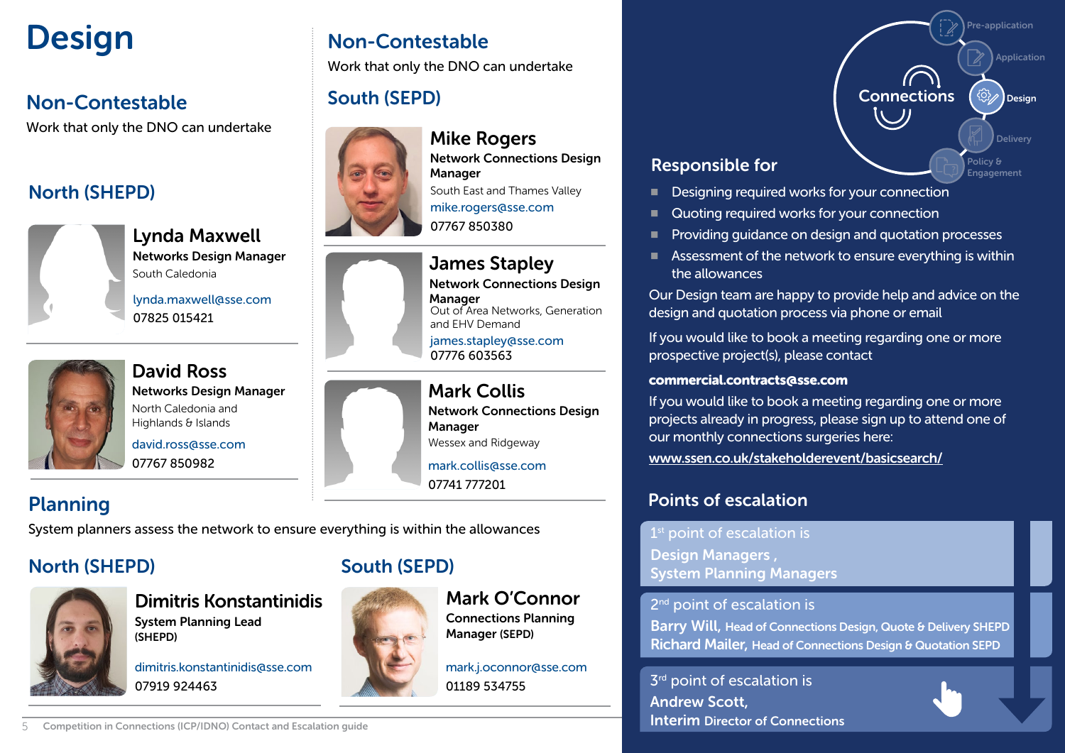#### Non-Contestable

Work that only the DNO can undertake

#### North (SHEPD)



Lynda Maxwell Networks Design Manager South Caledonia

lynda.maxwell@sse.com 07825 015421



David Ross Networks Design Manager North Caledonia and Highlands & Islands

david.ross@sse.com 07767 850982

#### Planning

System planners assess the network to ensure everything is within the allowances

#### North (SHEPD) South (SEPD)



Dimitris Konstantinidis System Planning Lead (SHEPD)

dimitris.konstantinidis@sse.com 07919 924463



Mark O'Connor Connections Planning Manager (SEPD)

mark.j.oconnor@sse.com 01189 534755

### <span id="page-4-0"></span>Design Non-Contestable

Work that only the DNO can undertake

#### South (SEPD)



Mike Rogers Network Connections Design **Manager** mike.rogers@sse.com 07767 850380 South East and Thames Valley



Network Connections Design **Manager** Out of Area Networks, Generation and EHV Demand

james.stapley@sse.com 07776 603563

Mark Collis Network Connections Design **Manager** Wessex and Ridgeway

07741 777201

#### Responsible for

- Designing required works for your connection
- Quoting required works for your connection
- Providing guidance on design and quotation processes
- Assessment of the network to ensure everything is within the allowances

Connections

Application

Pre-application

**Delivery** 

Policy & Engagement

 $\left(\begin{smallmatrix}\n\circ & & & \\
\circ & \circ & & \circ \\
\circ & \circ & & \circ\n\end{smallmatrix}\right)$  Design

Our Design team are happy to provide help and advice on the design and quotation process via phone or email

If you would like to book a meeting regarding one or more prospective project(s), please contact

#### commercial.contracts@sse.com

If you would like to book a meeting regarding one or more projects already in progress, please sign up to attend one of our monthly connections surgeries [here:](https://www.ssen.co.uk/stakeholderevent/basicsearch/) [www.ssen.co.uk/stakeholderevent/basicsearch/](https://www.ssen.co.uk/stakeholderevent/basicsearch/)

#### Points of escalation

1<sup>st</sup> point of escalation is

Design Managers , System Planning Managers

2<sup>nd</sup> point of escalation is

Barry Will, Head of Connections Design, Quote & Delivery SHEPD Richard Mailer, Head of Connections Design & Quotation SEPD

 $3<sup>rd</sup>$  point of escalation is Andrew Scott, [Interim Director of Connections](#page-12-0)



5 Competition in Connections (ICP/IDNO) Contact and Escalation guide

mark.collis@sse.com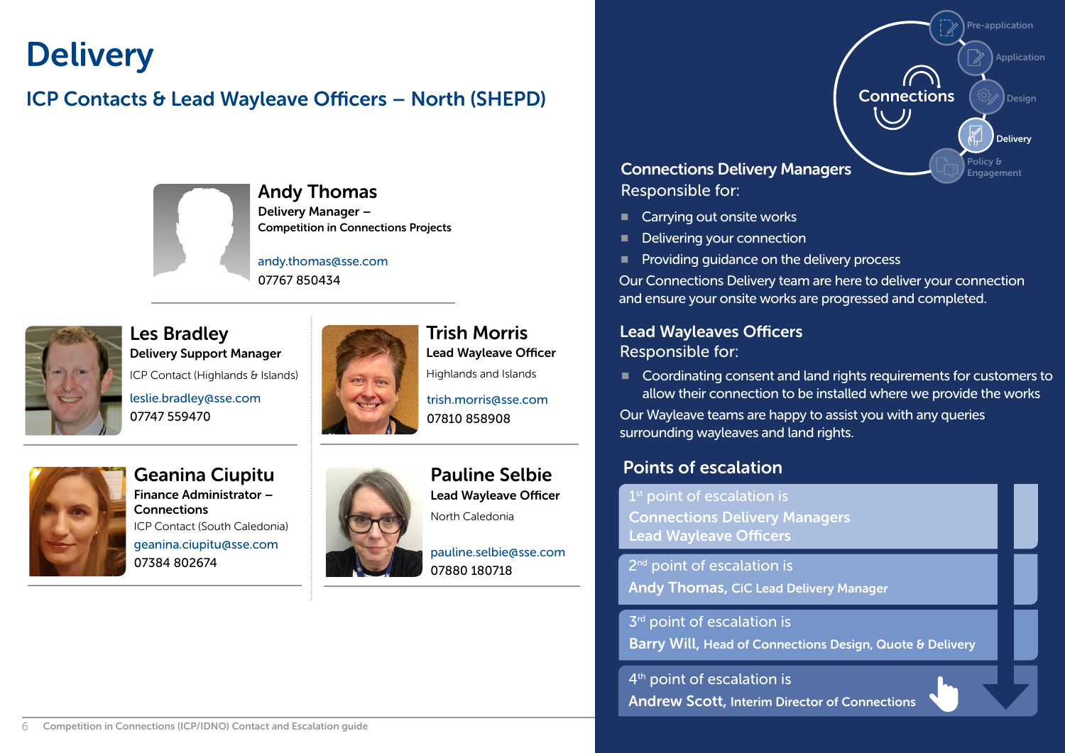### <span id="page-5-0"></span>**Delivery**

#### ICP Contacts & Lead Wayleave Officers – North (SHEPD)



#### Andy Thomas Delivery Manager – Competition in Connections Projects

andy.thomas@sse.com 07767 850434



Les Bradley Delivery Support Manager leslie.bradley@sse.com 07747 559470 ICP Contact (Highlands & Islands)



Trish Morris Lead Wayleave Officer

trish.morris@sse.com 07810 858908



Geanina Ciupitu Finance Administrator – **Connections** geanina.ciupitu@sse.com 07384 802674 ICP Contact (South Caledonia)



Pauline Selbie Lead Wayleave Officer

North Caledonia

pauline.selbie@sse.com 07880 180718

#### Connections Delivery Managers Responsible for:

- Carrying out onsite works
- Delivering your connection
- $\blacksquare$  Providing guidance on the delivery process

Our Connections Delivery team are here to deliver your connection and ensure your onsite works are progressed and completed.

Connections

Application

Pre-application

Delivery

Policy & **Engagement** 

 $SO(2)$  Design

#### Lead Wayleaves Officers Responsible for:

■ Coordinating consent and land rights requirements for customers to allow their connection to be installed where we provide the works

Our Wayleave teams are happy to assist you with any queries surrounding wayleaves and land rights.

#### Points of escalation

1<sup>st</sup> point of escalation is Connections Delivery Managers Lead Wayleave Officers

2<sup>nd</sup> point of escalation is Andy Thomas, CiC Lead Delivery Manager

 $3<sup>rd</sup>$  point of escalation is Barry Will, Head of Connections Design, Quote & Delivery

4<sup>th</sup> point of escalation is [Andrew Scott, Interim Director of Connections](#page-12-0)

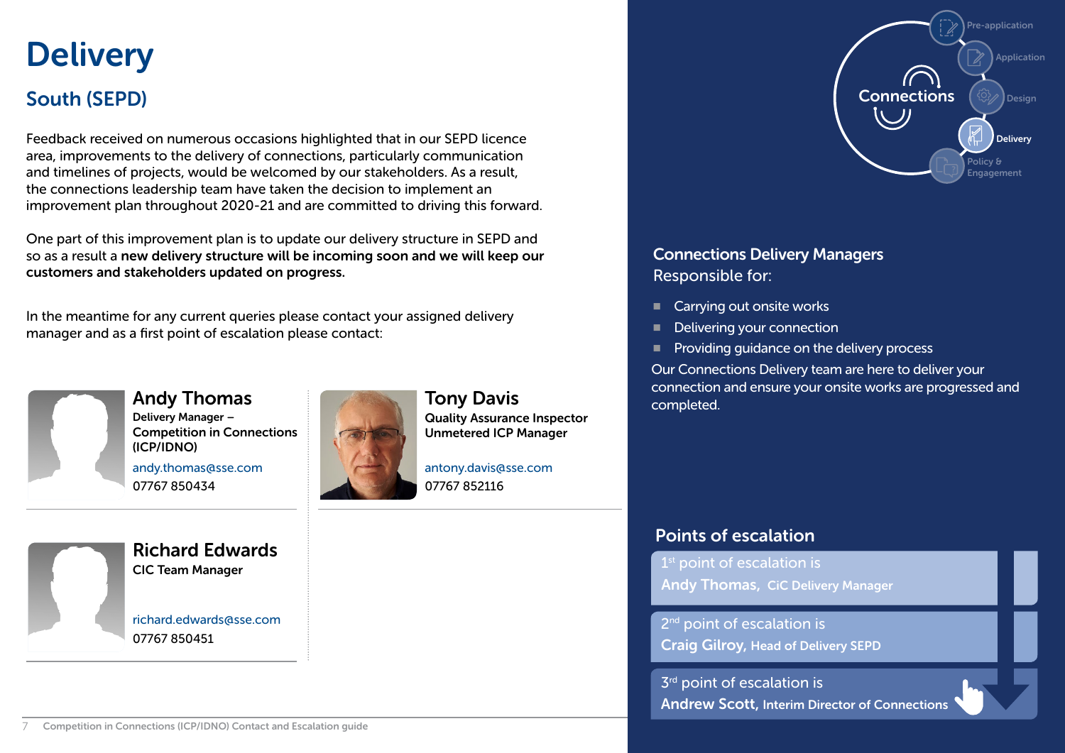### <span id="page-6-0"></span>**Delivery** South (SEPD)

Feedback received on numerous occasions highlighted that in our SEPD licence area, improvements to the delivery of connections, particularly communication and timelines of projects, would be welcomed by our stakeholders. As a result, the connections leadership team have taken the decision to implement an improvement plan throughout 2020-21 and are committed to driving this forward.

One part of this improvement plan is to update our delivery structure in SEPD and so as a result a new delivery structure will be incoming soon and we will keep our customers and stakeholders updated on progress.

In the meantime for any current queries please contact your assigned delivery manager and as a first point of escalation please contact:



Andy Thomas Delivery Manager – Competition in Connections (ICP/IDNO) andy.thomas@sse.com

Tony Davis

07767 852116

Quality Assurance Inspector Unmetered ICP Manager

antony.davis@sse.com

Richard Edwards CIC Team Manager

07767 850434

richard.edwards@sse.com 07767 850451



#### Connections Delivery Managers Responsible for:

- Carrying out onsite works
- Delivering your connection
- **Providing guidance on the delivery process**

Our Connections Delivery team are here to deliver your connection and ensure your onsite works are progressed and completed.

#### Points of escalation

 $1<sup>st</sup>$  point of escalation is Andy Thomas, CiC Delivery Manager

2<sup>nd</sup> point of escalation is Craig Gilroy, Head of Delivery SEPD

 $3<sup>rd</sup>$  point of escalation is [Andrew Scott, Interim Director of Connections](#page-12-0)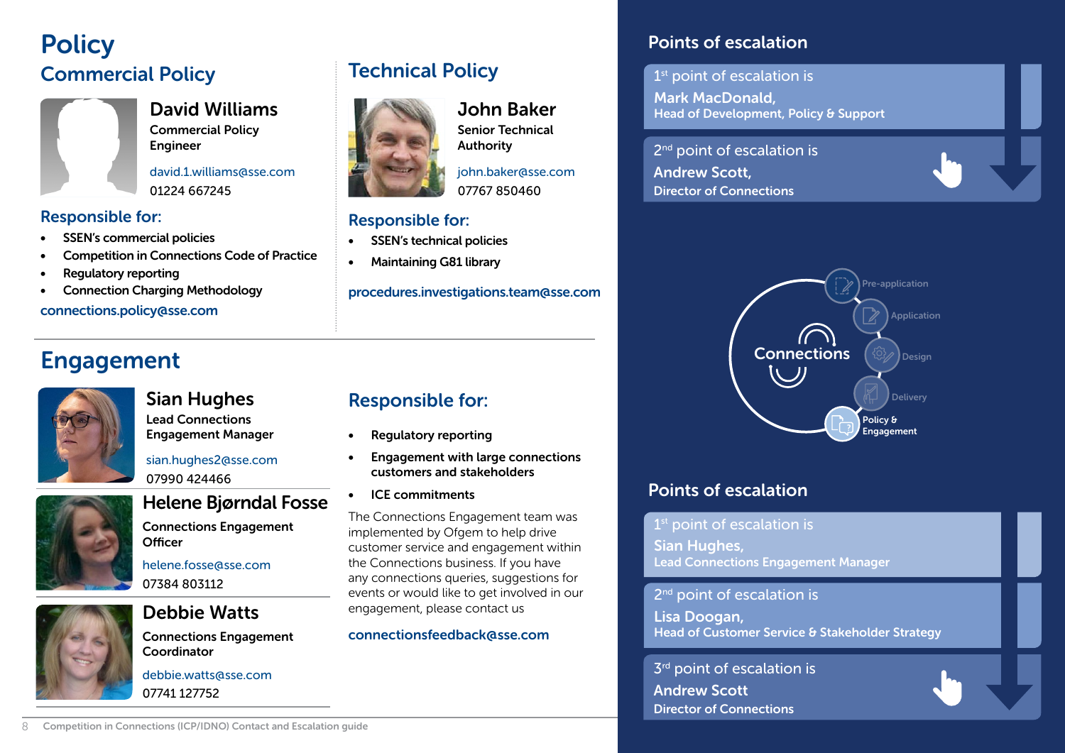### <span id="page-7-0"></span>**Policy** Commercial Policy



David Williams Commercial Policy Engineer

david.1.williams@sse.com 01224 667245

#### Responsible for:

- SSEN's commercial policies
- Competition in Connections Code of Practice
- Regulatory reporting
- Connection Charging Methodology

#### connections.policy@sse.com



## Engagement

Sian Hughes Lead Connections Engagement Manager

sian.hughes2@sse.com 07990 424466



### Helene Bjørndal Fosse

Connections Engagement **Officer** 

helene.fosse@sse.com 07384 803112

#### Debbie Watts

Connections Engagement Coordinator

debbie.watts@sse.com 07741 127752

### Technical Policy



#### John Baker

Senior Technical Authority

john.baker@sse.com 07767 850460

#### Responsible for:

- SSEN's technical policies
- Maintaining G81 library

procedures.investigations.team@sse.com

#### Responsible for:

- Regulatory reporting
- Engagement with large connections customers and stakeholders
- ICE commitments

The Connections Engagement team was implemented by Ofgem to help drive customer service and engagement within the Connections business. If you have any connections queries, suggestions for events or would like to get involved in our engagement, please contact us

#### connectionsfeedback@sse.com

#### Points of escalation

 $1<sup>st</sup>$  point of escalation is Mark MacDonald, Head of Development, Policy & Support

2<sup>nd</sup> point of escalation is Andrew Scott, Director of Connections



#### Points of escalation

 $1<sup>st</sup>$  point of escalation is

Sian Hughes, Lead Connections Engagement Manager

2<sup>nd</sup> point of escalation is

Lisa Doogan, Head of Customer Service & Stakeholder Strategy

 $3<sup>rd</sup>$  point of escalation is Andrew Scott Director of Connections

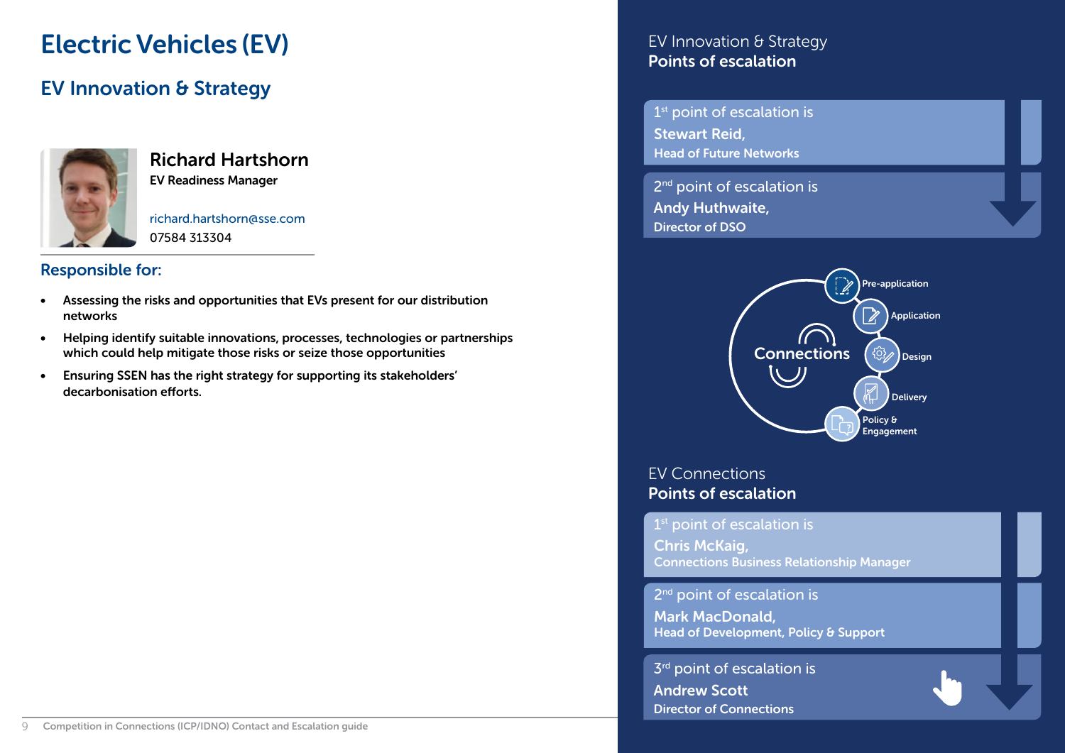### <span id="page-8-0"></span>Electric Vehicles (EV)

#### EV Innovation & Strategy



### Richard Hartshorn

EV Readiness Manager

richard.hartshorn@sse.com 07584 313304

#### Responsible for:

- Assessing the risks and opportunities that EVs present for our distribution networks
- Helping identify suitable innovations, processes, technologies or partnerships which could help mitigate those risks or seize those opportunities
- Ensuring SSEN has the right strategy for supporting its stakeholders' decarbonisation efforts.

#### EV Innovation & Strategy Points of escalation

1<sup>st</sup> point of escalation is Stewart Reid, Head of Future Networks

2<sup>nd</sup> point of escalation is Andy Huthwaite, Director of DSO



EV Connections Points of escalation

1<sup>st</sup> point of escalation is Chris McKaig, Connections Business Relationship Manager

2<sup>nd</sup> point of escalation is

Mark MacDonald, Head of Development, Policy & Support

 $3<sup>rd</sup>$  point of escalation is Andrew Scott Director of Connections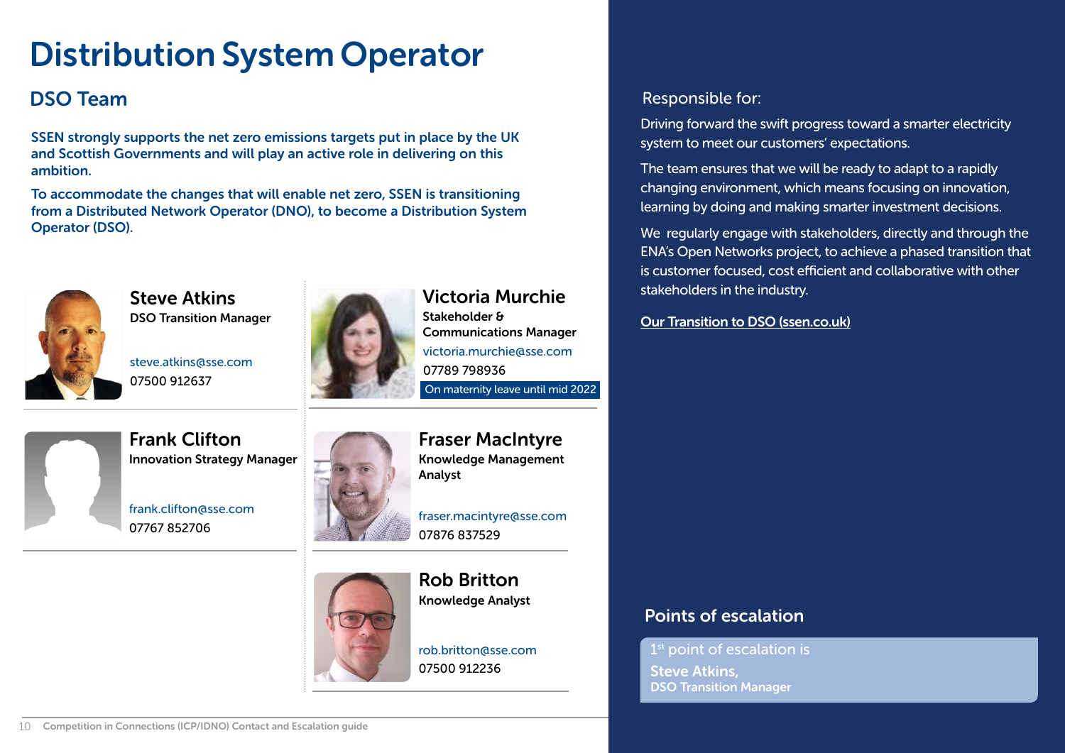## <span id="page-9-0"></span>Distribution System Operator

SSEN strongly supports the net zero emissions targets put in place by the UK and Scottish Governments and will play an active role in delivering on this ambition.

To accommodate the changes that will enable net zero, SSEN is transitioning from a Distributed Network Operator (DNO), to become a Distribution System Operator (DSO).



Steve Atkins DSO Transition Manager

steve.atkins@sse.com 07500 912637



Victoria Murchie Stakeholder & Communications Manager victoria.murchie@sse.com 07789 798936

On maternity leave until mid 2022



Frank Clifton Innovation Strategy Manager

frank.clifton@sse.com 07767 852706



Fraser MacIntyre Knowledge Management Analyst

fraser.macintyre@sse.com 07876 837529



Knowledge Analyst



Rob Britton

#### **DSO Team** Responsible for:

Driving forward the swift progress toward a smarter electricity system to meet our customers' expectations.

The team ensures that we will be ready to adapt to a rapidly changing environment, which means focusing on innovation, learning by doing and making smarter investment decisions.

We regularly engage with stakeholders, directly and through the ENA's Open Networks project, to achieve a phased transition that is customer focused, cost efficient and collaborative with other stakeholders in the industry.

[Our Transition to DSO \(ssen.co.uk\)](https://www.ssen.co.uk/SmarterElectricity/)

#### Points of escalation

1<sup>st</sup> point of escalation is Steve Atkins, DSO Transition Manager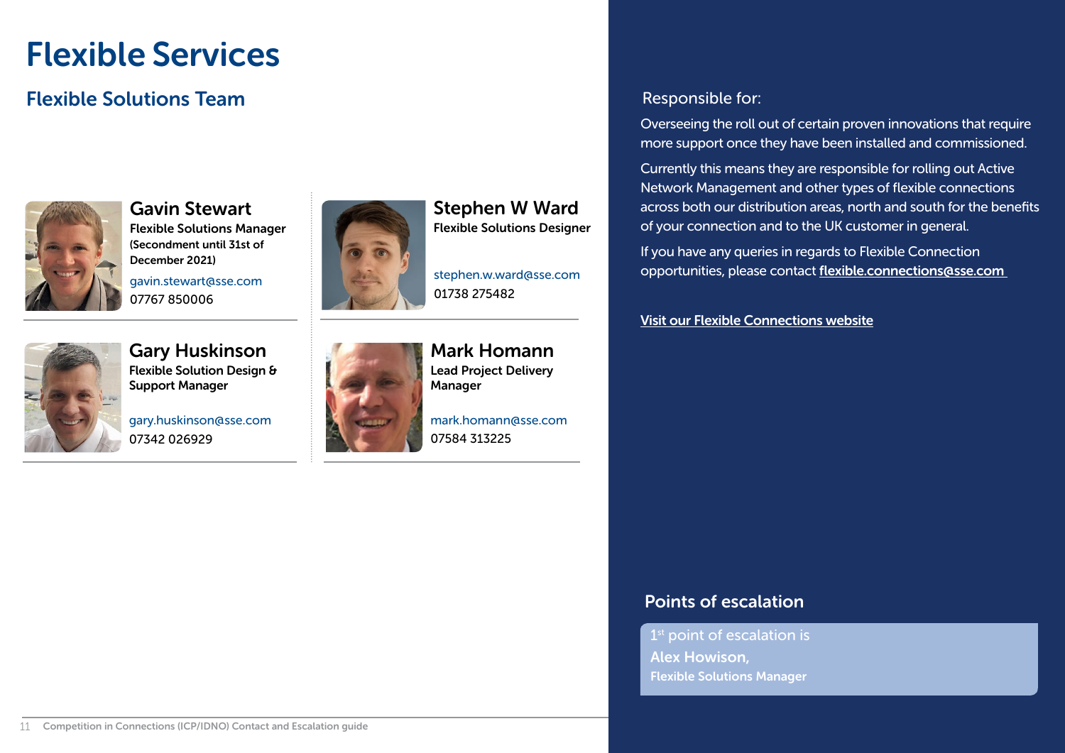### <span id="page-10-0"></span>Flexible Services

#### **Flexible Solutions Team Responsible for:** The Responsible for:



Gavin Stewart Flexible Solutions Manager (Secondment until 31st of December 2021) gavin.stewart@sse.com

07767 850006



Stephen W Ward Flexible Solutions Designer

stephen.w.ward@sse.com 01738 275482



Gary Huskinson Flexible Solution Design & Support Manager

gary.huskinson@sse.com 07342 026929



Mark Homann Lead Project Delivery Manager

mark.homann@sse.com 07584 313225

Overseeing the roll out of certain proven innovations that require more support once they have been installed and commissioned.

Currently this means they are responsible for rolling out Active Network Management and other types of flexible connections across both our distribution areas, north and south for the benefits of your connection and to the UK customer in general.

If you have any queries in regards to Flexible Connection opportunities, please contact flexible.connections@sse.com

[Visit our Flexible Connections website](https://www.ssen.co.uk/FlexibleConnections/)

#### Points of escalation

 $1<sup>st</sup>$  point of escalation is Alex Howison, Flexible Solutions Manager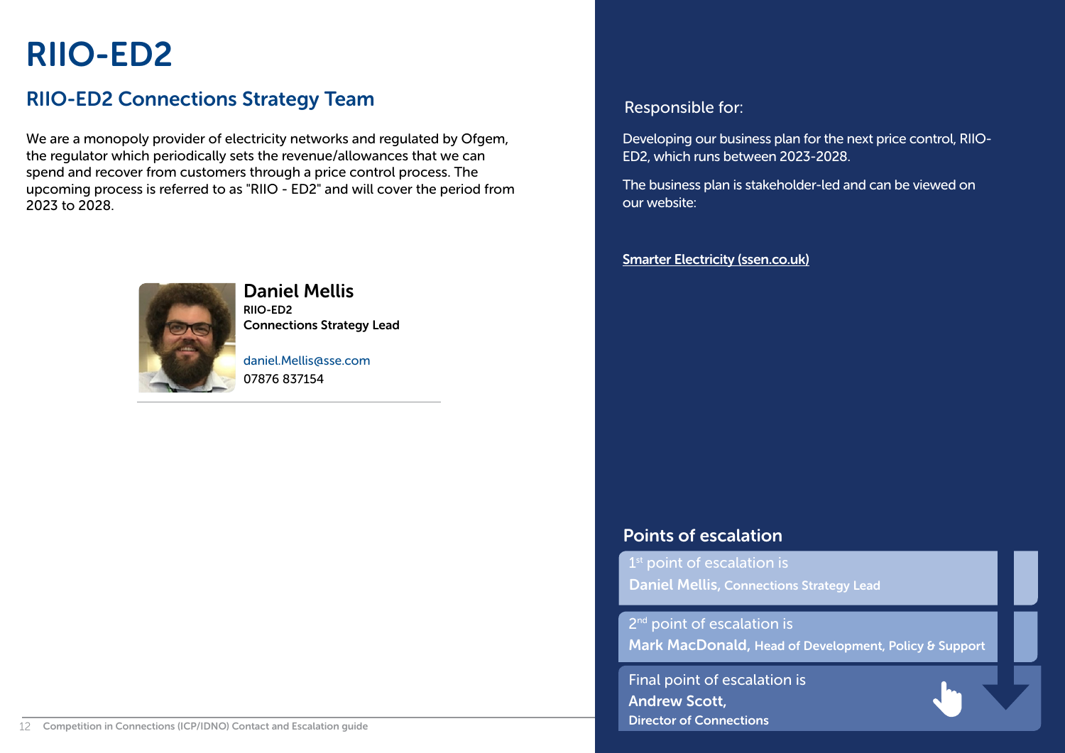### <span id="page-11-0"></span>RIIO-ED2

### RIIO-ED2 Connections Strategy Team Responsible for:

We are a monopoly provider of electricity networks and regulated by Ofgem, the regulator which periodically sets the revenue/allowances that we can spend and recover from customers through a price control process. The upcoming process is referred to as "RIIO - ED2" and will cover the period from 2023 to 2028.



#### Daniel Mellis

RIIO-ED2 Connections Strategy Lead

daniel.Mellis@sse.com 07876 837154

Developing our business plan for the next price control, RIIO-ED2, which runs between 2023-2028.

The business plan is stakeholder-led and can be viewed on our website:

#### [Smarter Electricity \(ssen.co.uk\)](https://www.ssen.co.uk/SmarterElectricity/)

#### Points of escalation

 $1<sup>st</sup>$  point of escalation is Daniel Mellis, Connections Strategy Lead

2<sup>nd</sup> point of escalation is

Mark MacDonald, Head of Development, Policy & Support

[Final point of escalation is](#page-12-0) Andrew Scott, Director of Connections

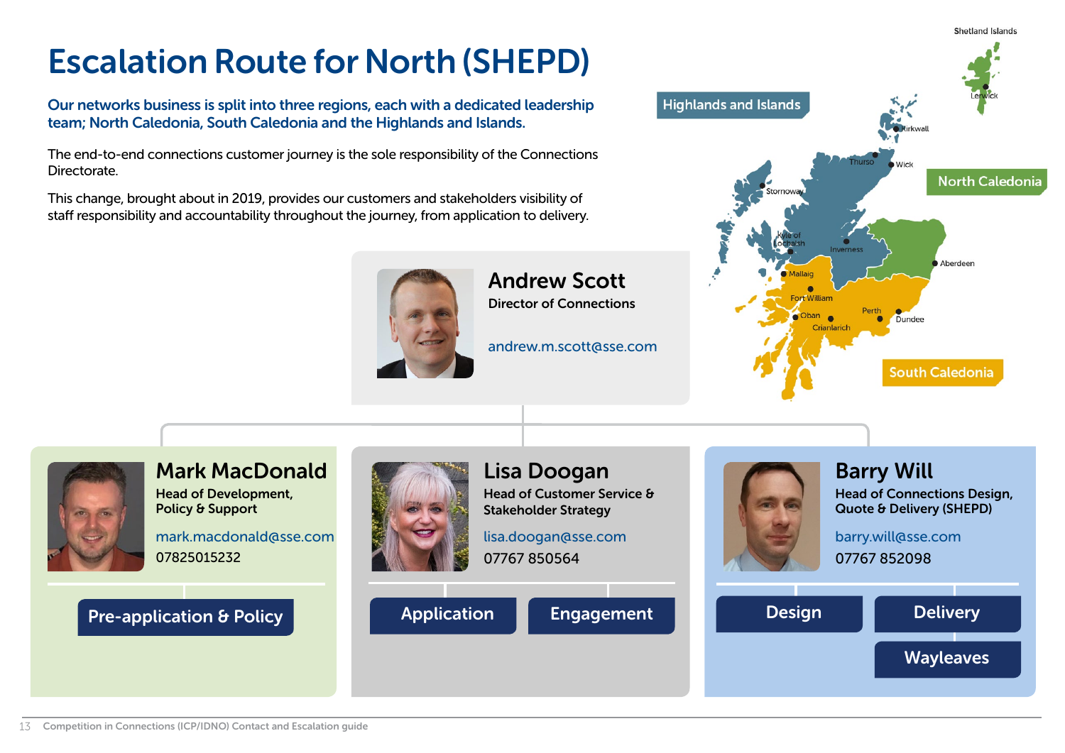## <span id="page-12-0"></span>Escalation Route for North (SHEPD)

Our networks business is split into three regions, each with a dedicated leadership team; North Caledonia, South Caledonia and the Highlands and Islands.

The end-to-end connections customer journey is the sole responsibility of the Connections Directorate.

This change, brought about in 2019, provides our customers and stakeholders visibility of staff responsibility and accountability throughout the journey, from application to delivery.



Andrew Scott Director of Connections

andrew.m.scott@sse.com



**Shetland Islands** 

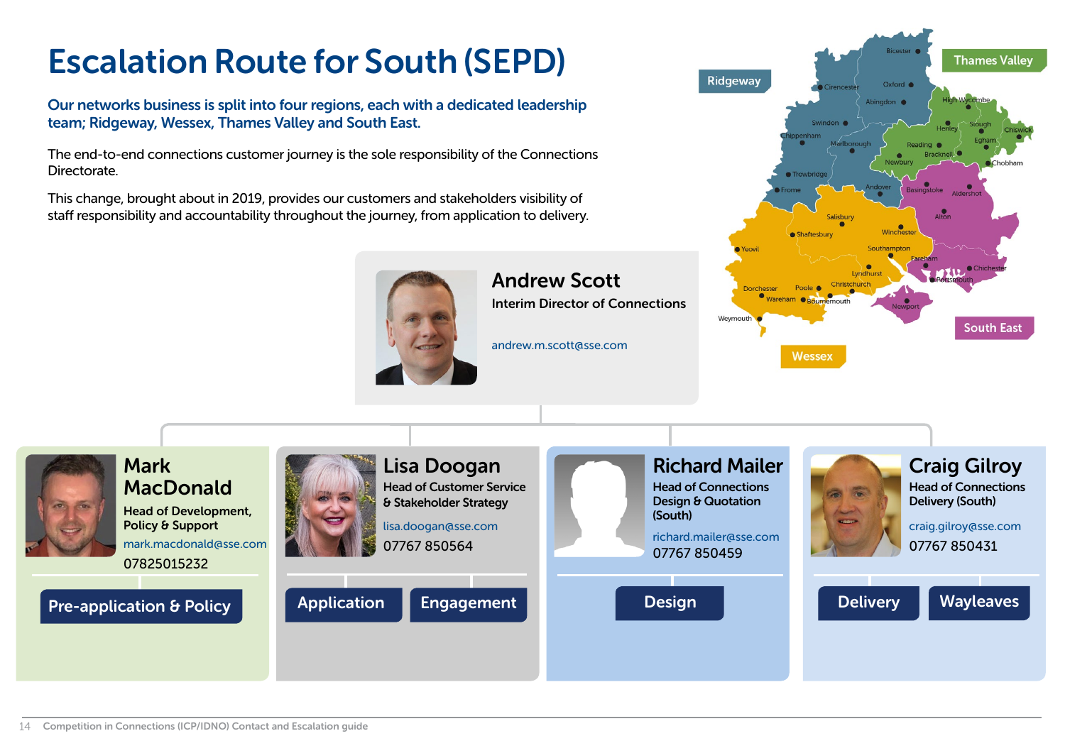## <span id="page-13-0"></span>Escalation Route for South (SEPD)

Our networks business is split into four regions, each with a dedicated leadership team; Ridgeway, Wessex, Thames Valley and South East.

The end-to-end connections customer journey is the sole responsibility of the Connections Directorate.

This change, brought about in 2019, provides our customers and stakeholders visibility of staff responsibility and accountability throughout the journey, from application to delivery.



### Andrew Scott

Interim Director of Connections

andrew.m.scott@sse.com